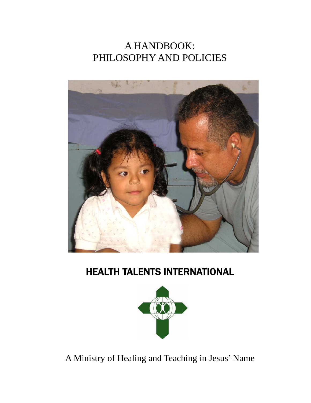## A HANDBOOK: PHILOSOPHY AND POLICIES



# HEALTH TALENTS INTERNATIONAL



A Ministry of Healing and Teaching in Jesus' Name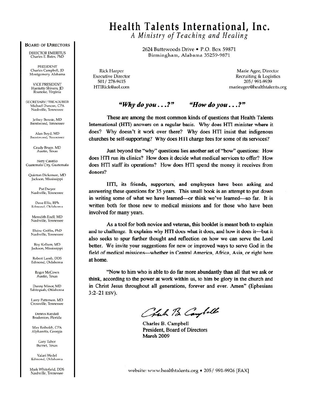#### **BOARD OF DIRECTORS**

**DIRECTOR EMERITUS** Charles E. Bates, PhD

**PRESIDENT** Charles Campbell, JD Montgomery, Alabama

**VICE PRESIDENT** Harriette Shivers, ID Roanoke, Virginia

SECRETARY/TREASURER Michael Duncan, CPA Nashville, Tennessee

Jeffrey Bennie, MD Brentwood, Tennessee

Alan Bovd, MD Brentwood, Tennessee

> Grady Bruce, MD Austin, Texas

Nery Castillo Guatemala City, Guatemala

Ouinton Dickerson, MD Jackson, Mississippi

Pat Dwyer Nashville, Tennessee

Dave Ellis, RPh Edmond, Oklahoma

Meredith Ezell, MD Nashville, Tennessee

Elaine Griffin, PhD Nashville, Tennessee

Roy Kellum, MD Jackson, Mississippi

Robert Lamb, DDS Edmond, Oklahoma

> Roger McCown Austin, Texas

Danny Minor, MD Tahlequah, Oklahoma

Larry Patterson, MD Crossville, Tennessee

Dennis Randall Bradenton, Florida

Max Reiboldt, CPA Alpharetta, Georgia

> Gary Tabor Burnet, Texas

Valari Wedel Edmond, Oklahoma

Mark Whitefield, DDS Nashville, Tennessee

## Health Talents International, Inc.

A Ministry of Teaching and Healing

2624 Buttewoods Drive . P.O. Box 59871 Birmingham, Alabama 35259-9871

**Rick Harper Executive Director** 501 / 278-9415 HTIRick@aol.com

Marie Agee, Director Recruiting & Logistics 205/991-9939 marieagee@healthtalents.org

#### "Why do you  $\ldots$ ?" "How do you...?"

These are among the most common kinds of questions that Health Talents International (HTI) answers on a regular basis. Why does HTI minister where it does? Why doesn't it work over there? Why does HTI insist that indigenous churches be self-supporting? Why does HTI charge fees for some of its services?

Just beyond the "why" questions lies another set of "how" questions: How does HTI run its clinics? How does it decide what medical services to offer? How does HTI staff its operations? How does HTI spend the money it receives from donors?

HTI, its friends, supporters, and employees have been asking and answering these questions for 35 years. This small book is an attempt to put down in writing some of what we have learned—or think we've learned—so far. It is written both for those new to medical missions and for those who have been involved for many years.

As a tool for both novice and veteran, this booklet is meant both to explain and to challenge. It explains why HTI does what it does, and how it does it—but it also seeks to spur further thought and reflection on how we can serve the Lord better. We invite your suggestions for new or improved ways to serve God in the field of medical missions—whether in Central America, Africa, Asia, or right here at home.

"Now to him who is able to do far more abundantly than all that we ask or think, according to the power at work within us, to him be glory in the church and in Christ Jesus throughout all generations, forever and ever. Amen" (Ephesians  $3:2-21$  ESV).

Chach B Campell

Charles B. Campbell President, Board of Directors March 2009

website: www.healthtalents.org • 205/ 991-9926 [FAX]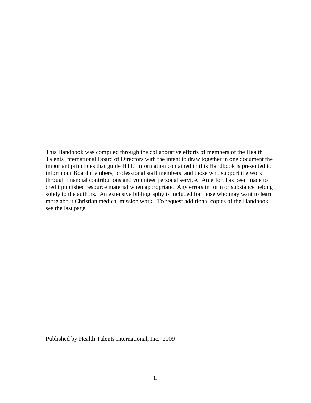This Handbook was compiled through the collaborative efforts of members of the Health Talents International Board of Directors with the intent to draw together in one document the important principles that guide HTI. Information contained in this Handbook is presented to inform our Board members, professional staff members, and those who support the work through financial contributions and volunteer personal service. An effort has been made to credit published resource material when appropriate. Any errors in form or substance belong solely to the authors. An extensive bibliography is included for those who may want to learn more about Christian medical mission work. To request additional copies of the Handbook see the last page.

Published by Health Talents International, Inc. 2009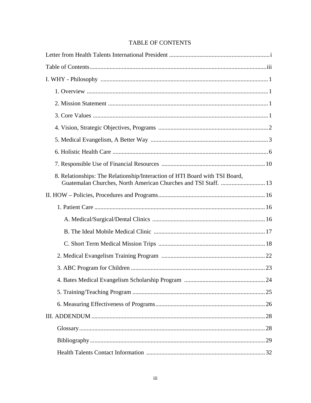| <b>TABLE OF CONTENTS</b> |  |  |
|--------------------------|--|--|
|                          |  |  |

| 8. Relationships: The Relationship/Interaction of HTI Board with TSI Board,<br>Guatemalan Churches, North American Churches and TSI Staff.  13 |
|------------------------------------------------------------------------------------------------------------------------------------------------|
|                                                                                                                                                |
|                                                                                                                                                |
|                                                                                                                                                |
|                                                                                                                                                |
|                                                                                                                                                |
|                                                                                                                                                |
|                                                                                                                                                |
|                                                                                                                                                |
|                                                                                                                                                |
|                                                                                                                                                |
|                                                                                                                                                |
|                                                                                                                                                |
|                                                                                                                                                |
|                                                                                                                                                |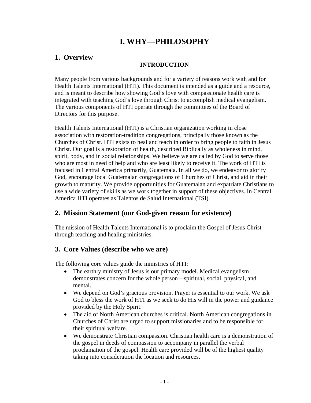## **I. WHY—PHILOSOPHY**

## **1. Overview**

### **INTRODUCTION**

Many people from various backgrounds and for a variety of reasons work with and for Health Talents International (HTI). This document is intended as a guide and a resource, and is meant to describe how showing God's love with compassionate health care is integrated with teaching God's love through Christ to accomplish medical evangelism. The various components of HTI operate through the committees of the Board of Directors for this purpose.

Health Talents International (HTI) is a Christian organization working in close association with restoration-tradition congregations, principally those known as the Churches of Christ. HTI exists to heal and teach in order to bring people to faith in Jesus Christ. Our goal is a restoration of health, described Biblically as wholeness in mind, spirit, body, and in social relationships. We believe we are called by God to serve those who are most in need of help and who are least likely to receive it. The work of HTI is focused in Central America primarily, Guatemala. In all we do, we endeavor to glorify God, encourage local Guatemalan congregations of Churches of Christ, and aid in their growth to maturity. We provide opportunities for Guatemalan and expatriate Christians to use a wide variety of skills as we work together in support of these objectives. In Central America HTI operates as Talentos de Salud International (TSI).

## **2. Mission Statement (our God-given reason for existence)**

The mission of Health Talents International is to proclaim the Gospel of Jesus Christ through teaching and healing ministries.

## **3. Core Values (describe who we are)**

The following core values guide the ministries of HTI:

- The earthly ministry of Jesus is our primary model. Medical evangelism demonstrates concern for the whole person—spiritual, social, physical, and mental.
- We depend on God's gracious provision. Prayer is essential to our work. We ask God to bless the work of HTI as we seek to do His will in the power and guidance provided by the Holy Spirit.
- The aid of North American churches is critical. North American congregations in Churches of Christ are urged to support missionaries and to be responsible for their spiritual welfare.
- We demonstrate Christian compassion. Christian health care is a demonstration of the gospel in deeds of compassion to accompany in parallel the verbal proclamation of the gospel. Health care provided will be of the highest quality taking into consideration the location and resources.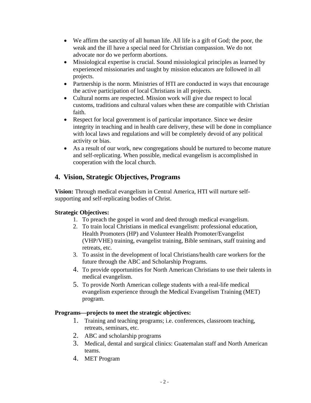- We affirm the sanctity of all human life. All life is a gift of God; the poor, the weak and the ill have a special need for Christian compassion. We do not advocate nor do we perform abortions.
- Missiological expertise is crucial. Sound missiological principles as learned by experienced missionaries and taught by mission educators are followed in all projects.
- Partnership is the norm. Ministries of HTI are conducted in ways that encourage the active participation of local Christians in all projects.
- Cultural norms are respected. Mission work will give due respect to local customs, traditions and cultural values when these are compatible with Christian faith.
- Respect for local government is of particular importance. Since we desire integrity in teaching and in health care delivery, these will be done in compliance with local laws and regulations and will be completely devoid of any political activity or bias.
- As a result of our work, new congregations should be nurtured to become mature and self-replicating. When possible, medical evangelism is accomplished in cooperation with the local church.

## **4. Vision, Strategic Objectives, Programs**

**Vision:** Through medical evangelism in Central America, HTI will nurture selfsupporting and self-replicating bodies of Christ.

## **Strategic Objectives:**

- 1. To preach the gospel in word and deed through medical evangelism.
- 2. To train local Christians in medical evangelism: professional education, Health Promoters (HP) and Volunteer Health Promoter/Evangelist (VHP/VHE) training, evangelist training, Bible seminars, staff training and retreats, etc.
- 3. To assist in the development of local Christians/health care workers for the future through the ABC and Scholarship Programs.
- 4. To provide opportunities for North American Christians to use their talents in medical evangelism.
- 5. To provide North American college students with a real-life medical evangelism experience through the Medical Evangelism Training (MET) program.

### **Programs—projects to meet the strategic objectives:**

- 1. Training and teaching programs; i.e. conferences, classroom teaching, retreats, seminars, etc.
- 2. ABC and scholarship programs
- 3. Medical, dental and surgical clinics: Guatemalan staff and North American teams.
- 4. MET Program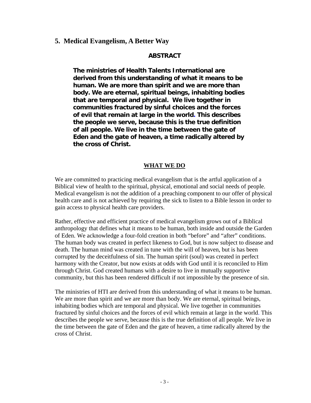#### **5. Medical Evangelism, A Better Way**

#### **ABSTRACT**

**The ministries of Health Talents International are derived from this understanding of what it means to be human. We are more than spirit and we are more than body. We are eternal, spiritual beings, inhabiting bodies that are temporal and physical. We live together in communities fractured by sinful choices and the forces of evil that remain at large in the world. This describes the people we serve, because this is the true definition of all people. We live in the time between the gate of Eden and the gate of heaven, a time radically altered by the cross of Christ.**

#### **WHAT WE DO**

We are committed to practicing medical evangelism that is the artful application of a Biblical view of health to the spiritual, physical, emotional and social needs of people. Medical evangelism is not the addition of a preaching component to our offer of physical health care and is not achieved by requiring the sick to listen to a Bible lesson in order to gain access to physical health care providers.

Rather, effective and efficient practice of medical evangelism grows out of a Biblical anthropology that defines what it means to be human, both inside and outside the Garden of Eden. We acknowledge a four-fold creation in both "before" and "after" conditions. The human body was created in perfect likeness to God, but is now subject to disease and death. The human mind was created in tune with the will of heaven, but is has been corrupted by the deceitfulness of sin. The human spirit (soul) was created in perfect harmony with the Creator, but now exists at odds with God until it is reconciled to Him through Christ. God created humans with a desire to live in mutually supportive community, but this has been rendered difficult if not impossible by the presence of sin.

The ministries of HTI are derived from this understanding of what it means to be human. We are more than spirit and we are more than body. We are eternal, spiritual beings, inhabiting bodies which are temporal and physical. We live together in communities fractured by sinful choices and the forces of evil which remain at large in the world. This describes the people we serve, because this is the true definition of all people. We live in the time between the gate of Eden and the gate of heaven, a time radically altered by the cross of Christ.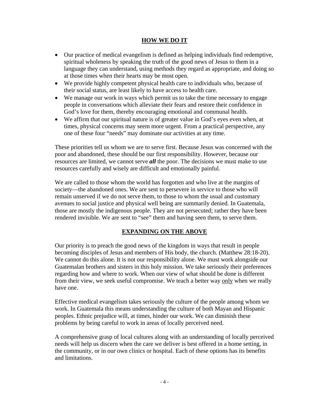#### **HOW WE DO IT**

- Our practice of medical evangelism is defined as helping individuals find redemptive, spiritual wholeness by speaking the truth of the good news of Jesus to them in a language they can understand, using methods they regard as appropriate, and doing so at those times when their hearts may be most open.
- We provide highly competent physical health care to individuals who, because of their social status, are least likely to have access to health care.
- We manage our work in ways which permit us to take the time necessary to engage people in conversations which alleviate their fears and restore their confidence in God's love for them, thereby encouraging emotional and communal health.
- We affirm that our spiritual nature is of greater value in God's eyes even when, at times, physical concerns may seem more urgent. From a practical perspective, any one of these four "needs" may dominate our activities at any time.

These priorities tell us whom we are to serve first. Because Jesus was concerned with the poor and abandoned, these should be our first responsibility. However, because our resources are limited, we cannot serve *all* the poor. The decisions we must make to use resources carefully and wisely are difficult and emotionally painful.

We are called to those whom the world has forgotten and who live at the margins of society—the abandoned ones. We are sent to persevere in service to those who will remain unserved if we do not serve them, to those to whom the usual and customary avenues to social justice and physical well being are summarily denied. In Guatemala, those are mostly the indigenous people. They are not persecuted; rather they have been rendered invisible. We are sent to "see" them and having seen them, to serve them.

#### **EXPANDING ON THE ABOVE**

Our priority is to preach the good news of the kingdom in ways that result in people becoming disciples of Jesus and members of His body, the church. (Matthew 28:18-20). We cannot do this alone. It is not our responsibility alone. We must work alongside our Guatemalan brothers and sisters in this holy mission. We take seriously their preferences regarding how and where to work. When our view of what should be done is different from their view, we seek useful compromise. We teach a better way only when we really have one.

Effective medical evangelism takes seriously the culture of the people among whom we work. In Guatemala this means understanding the culture of both Mayan and Hispanic peoples. Ethnic prejudice will, at times, hinder our work. We can diminish these problems by being careful to work in areas of locally perceived need.

A comprehensive grasp of local cultures along with an understanding of locally perceived needs will help us discern when the care we deliver is best offered in a home setting, in the community, or in our own clinics or hospital. Each of these options has its benefits and limitations.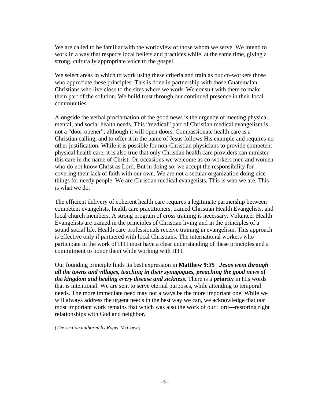We are called to be familiar with the worldview of those whom we serve. We intend to work in a way that respects local beliefs and practices while, at the same time, giving a strong, culturally appropriate voice to the gospel.

We select areas in which to work using these criteria and train as our co-workers those who appreciate these principles. This is done in partnership with those Guatemalan Christians who live close to the sites where we work. We consult with them to make them part of the solution. We build trust through our continued presence in their local communities.

Alongside the verbal proclamation of the good news is the urgency of meeting physical, mental, and social health needs. This "medical" part of Christian medical evangelism is not a "door-opener"; although it will open doors. Compassionate health care is a Christian calling, and to offer it in the name of Jesus follows His example and requires no other justification. While it is possible for non-Christian physicians to provide competent physical health care, it is also true that only Christian health care providers can minister this care in the name of Christ. On occasions we welcome as co-workers men and women who do not know Christ as Lord. But in doing so, we accept the responsibility for covering their lack of faith with our own. We are not a secular organization doing nice things for needy people. We are Christian medical evangelists. This is who we are. This is what we do.

The efficient delivery of coherent health care requires a legitimate partnership between competent evangelists, health care practitioners, trained Christian Health Evangelists, and local church members. A strong program of cross training is necessary. Volunteer Health Evangelists are trained in the principles of Christian living and in the principles of a sound social life. Health care professionals receive training in evangelism. This approach is effective only if partnered with local Christians. The international workers who participate in the work of HTI must have a clear understanding of these principles and a commitment to honor them while working with HTI.

Our founding principle finds its best expression in **Matthew 9:***35 Jesus went through all the towns and villages, teaching in their synagogues, preaching the good news of the kingdom and healing every disease and sickness.* There is a **priority** in His words that is intentional. We are sent to serve eternal purposes, while attending to temporal needs. The more immediate need may not always be the more important one. While we will always address the urgent needs in the best way we can, we acknowledge that our most important work remains that which was also the work of our Lord—restoring right relationships with God and neighbor.

*(The section authored by Roger McCown)*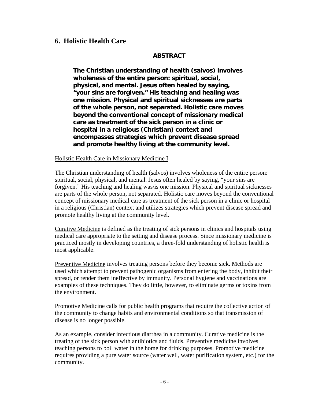### **6. Holistic Health Care**

#### **ABSTRACT**

**The Christian understanding of health (salvos) involves wholeness of the entire person: spiritual, social, physical, and mental. Jesus often healed by saying, "your sins are forgiven." His teaching and healing was one mission. Physical and spiritual sicknesses are parts of the whole person, not separated. Holistic care moves beyond the conventional concept of missionary medical care as treatment of the sick person in a clinic or hospital in a religious (Christian) context and encompasses strategies which prevent disease spread and promote healthy living at the community level.** 

#### Holistic Health Care in Missionary Medicine I

The Christian understanding of health (salvos) involves wholeness of the entire person: spiritual, social, physical, and mental. Jesus often healed by saying, "your sins are forgiven." His teaching and healing was/is one mission. Physical and spiritual sicknesses are parts of the whole person, not separated. Holistic care moves beyond the conventional concept of missionary medical care as treatment of the sick person in a clinic or hospital in a religious (Christian) context and utilizes strategies which prevent disease spread and promote healthy living at the community level.

Curative Medicine is defined as the treating of sick persons in clinics and hospitals using medical care appropriate to the setting and disease process. Since missionary medicine is practiced mostly in developing countries, a three-fold understanding of holistic health is most applicable.

Preventive Medicine involves treating persons before they become sick. Methods are used which attempt to prevent pathogenic organisms from entering the body, inhibit their spread, or render them ineffective by immunity. Personal hygiene and vaccinations are examples of these techniques. They do little, however, to eliminate germs or toxins from the environment.

Promotive Medicine calls for public health programs that require the collective action of the community to change habits and environmental conditions so that transmission of disease is no longer possible.

As an example, consider infectious diarrhea in a community. Curative medicine is the treating of the sick person with antibiotics and fluids. Preventive medicine involves teaching persons to boil water in the home for drinking purposes. Promotive medicine requires providing a pure water source (water well, water purification system, etc.) for the community.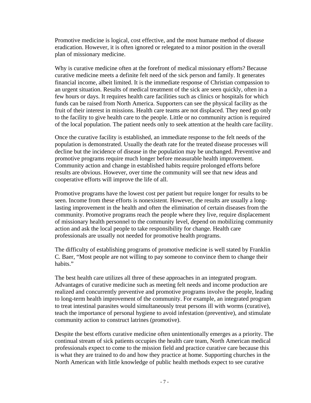Promotive medicine is logical, cost effective, and the most humane method of disease eradication. However, it is often ignored or relegated to a minor position in the overall plan of missionary medicine.

Why is curative medicine often at the forefront of medical missionary efforts? Because curative medicine meets a definite felt need of the sick person and family. It generates financial income, albeit limited. It is the immediate response of Christian compassion to an urgent situation. Results of medical treatment of the sick are seen quickly, often in a few hours or days. It requires health care facilities such as clinics or hospitals for which funds can be raised from North America. Supporters can see the physical facility as the fruit of their interest in missions. Health care teams are not displaced. They need go only to the facility to give health care to the people. Little or no community action is required of the local population. The patient needs only to seek attention at the health care facility.

Once the curative facility is established, an immediate response to the felt needs of the population is demonstrated. Usually the death rate for the treated disease processes will decline but the incidence of disease in the population may be unchanged. Preventive and promotive programs require much longer before measurable health improvement. Community action and change in established habits require prolonged efforts before results are obvious. However, over time the community will see that new ideas and cooperative efforts will improve the life of all.

Promotive programs have the lowest cost per patient but require longer for results to be seen. Income from these efforts is nonexistent. However, the results are usually a longlasting improvement in the health and often the elimination of certain diseases from the community. Promotive programs reach the people where they live, require displacement of missionary health personnel to the community level, depend on mobilizing community action and ask the local people to take responsibility for change. Health care professionals are usually not needed for promotive health programs.

The difficulty of establishing programs of promotive medicine is well stated by Franklin C. Baer, "Most people are not willing to pay someone to convince them to change their habits."

The best health care utilizes all three of these approaches in an integrated program. Advantages of curative medicine such as meeting felt needs and income production are realized and concurrently preventive and promotive programs involve the people, leading to long-term health improvement of the community. For example, an integrated program to treat intestinal parasites would simultaneously treat persons ill with worms (curative), teach the importance of personal hygiene to avoid infestation (preventive), and stimulate community action to construct latrines (promotive).

Despite the best efforts curative medicine often unintentionally emerges as a priority. The continual stream of sick patients occupies the health care team, North American medical professionals expect to come to the mission field and practice curative care because this is what they are trained to do and how they practice at home. Supporting churches in the North American with little knowledge of public health methods expect to see curative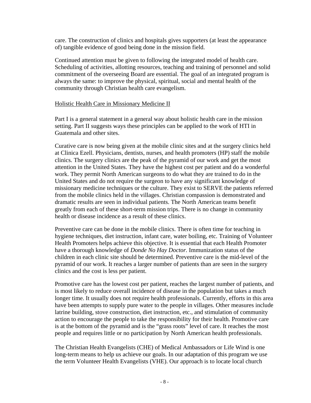care. The construction of clinics and hospitals gives supporters (at least the appearance of) tangible evidence of good being done in the mission field.

Continued attention must be given to following the integrated model of health care. Scheduling of activities, allotting resources, teaching and training of personnel and solid commitment of the overseeing Board are essential. The goal of an integrated program is always the same: to improve the physical, spiritual, social and mental health of the community through Christian health care evangelism.

#### Holistic Health Care in Missionary Medicine II

Part I is a general statement in a general way about holistic health care in the mission setting. Part II suggests ways these principles can be applied to the work of HTI in Guatemala and other sites.

Curative care is now being given at the mobile clinic sites and at the surgery clinics held at Clinica Ezell. Physicians, dentists, nurses, and health promoters (HP) staff the mobile clinics. The surgery clinics are the peak of the pyramid of our work and get the most attention in the United States. They have the highest cost per patient and do a wonderful work. They permit North American surgeons to do what they are trained to do in the United States and do not require the surgeon to have any significant knowledge of missionary medicine techniques or the culture. They exist to SERVE the patients referred from the mobile clinics held in the villages. Christian compassion is demonstrated and dramatic results are seen in individual patients. The North American teams benefit greatly from each of these short-term mission trips. There is no change in community health or disease incidence as a result of these clinics.

Preventive care can be done in the mobile clinics. There is often time for teaching in hygiene techniques, diet instruction, infant care, water boiling, etc. Training of Volunteer Health Promoters helps achieve this objective. It is essential that each Health Promoter have a thorough knowledge of *Donde No Hay Doctor.* Immunization status of the children in each clinic site should be determined. Preventive care is the mid-level of the pyramid of our work. It reaches a larger number of patients than are seen in the surgery clinics and the cost is less per patient.

Promotive care has the lowest cost per patient, reaches the largest number of patients, and is most likely to reduce overall incidence of disease in the population but takes a much longer time. It usually does not require health professionals. Currently, efforts in this area have been attempts to supply pure water to the people in villages. Other measures include latrine building, stove construction, diet instruction, etc., and stimulation of community action to encourage the people to take the responsibility for their health. Promotive care is at the bottom of the pyramid and is the "grass roots" level of care. It reaches the most people and requires little or no participation by North American health professionals.

The Christian Health Evangelists (CHE) of Medical Ambassadors or Life Wind is one long-term means to help us achieve our goals. In our adaptation of this program we use the term Volunteer Health Evangelists (VHE). Our approach is to locate local church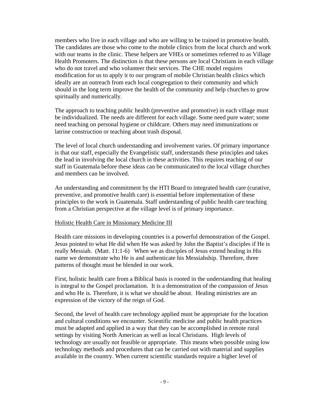members who live in each village and who are willing to be trained in promotive health. The candidates are those who come to the mobile clinics from the local church and work with our teams in the clinic. These helpers are VHEs or sometimes referred to as Village Health Promoters. The distinction is that these persons are local Christians in each village who do not travel and who volunteer their services. The CHE model requires modification for us to apply it to our program of mobile Christian health clinics which ideally are an outreach from each local congregation to their community and which should in the long term improve the health of the community and help churches to grow spiritually and numerically.

The approach to teaching public health (preventive and promotive) in each village must be individualized. The needs are different for each village. Some need pure water; some need teaching on personal hygiene or childcare. Others may need immunizations or latrine construction or teaching about trash disposal.

The level of local church understanding and involvement varies. Of primary importance is that our staff, especially the Evangelistic staff, understands these principles and takes the lead in involving the local church in these activities. This requires teaching of our staff in Guatemala before these ideas can be communicated to the local village churches and members can be involved.

An understanding and commitment by the HTI Board to integrated health care (curative, preventive, and promotive health care) is essential before implementation of these principles to the work in Guatemala. Staff understanding of public health care teaching from a Christian perspective at the village level is of primary importance.

#### Holistic Health Care in Missionary Medicine III

Health care missions in developing countries is a powerful demonstration of the Gospel. Jesus pointed to what He did when He was asked by John the Baptist's disciples if He is really Messiah. (Matt. 11:1-6) When we as disciples of Jesus extend healing in His name we demonstrate who He is and authenticate his Messiahship. Therefore, three patterns of thought must be blended in our work.

First, holistic health care from a Biblical basis is rooted in the understanding that healing is integral to the Gospel proclamation. It is a demonstration of the compassion of Jesus and who He is. Therefore, it is what we should be about. Healing ministries are an expression of the victory of the reign of God.

Second, the level of health care technology applied must be appropriate for the location and cultural conditions we encounter. Scientific medicine and public health practices must be adapted and applied in a way that they can be accomplished in remote rural settings by visiting North American as well as local Christians. High levels of technology are usually not feasible or appropriate. This means when possible using low technology methods and procedures that can be carried out with material and supplies available in the country. When current scientific standards require a higher level of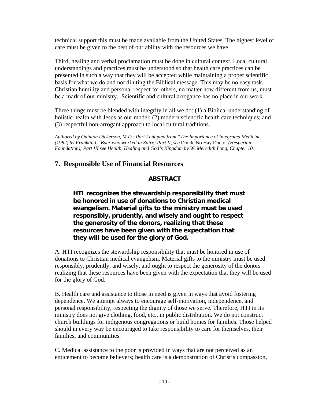technical support this must be made available from the United States. The highest level of care must be given to the best of our ability with the resources we have.

Third, healing and verbal proclamation must be done in cultural context. Local cultural understandings and practices must be understood so that health care practices can be presented in such a way that they will be accepted while maintaining a proper scientific basis for what we do and not diluting the Biblical message. This may be no easy task. Christian humility and personal respect for others, no matter how different from us, must be a mark of our ministry. Scientific and cultural arrogance has no place in our work.

Three things must be blended with integrity in all we do: (1) a Biblical understanding of holistic health with Jesus as our model; (2) modern scientific health care techniques; and (3) respectful non-arrogant approach to local cultural traditions.

*Authored by Quinton Dickerson, M.D.: Part I adapted from "The Importance of Integrated Medicine (1982) by Franklin C. Baer who worked in Zaire; Part II, see* Donde No Hay Doctor *(Hesperian Foundation); Part III see Health, Healing and God's Kingdom by W. Meredith Long, Chapter 10.* 

## **7. Responsible Use of Financial Resources**

### **ABSTRACT**

**HTI recognizes the stewardship responsibility that must be honored in use of donations to Christian medical evangelism. Material gifts to the ministry must be used responsibly, prudently, and wisely and ought to respect the generosity of the donors, realizing that these resources have been given with the expectation that they will be used for the glory of God.** 

A. HTI recognizes the stewardship responsibility that must be honored in use of donations to Christian medical evangelism. Material gifts to the ministry must be used responsibly, prudently, and wisely, and ought to respect the generosity of the donors realizing that these resources have been given with the expectation that they will be used for the glory of God.

B. Health care and assistance to those in need is given in ways that avoid fostering dependence. We attempt always to encourage self-motivation, independence, and personal responsibility, respecting the dignity of those we serve. Therefore, HTI in its ministry does not give clothing, food, etc., in public distribution. We do not construct church buildings for indigenous congregations or build homes for families. Those helped should in every way be encouraged to take responsibility to care for themselves, their families, and communities.

C. Medical assistance to the poor is provided in ways that are not perceived as an enticement to become believers; health care is a demonstration of Christ's compassion,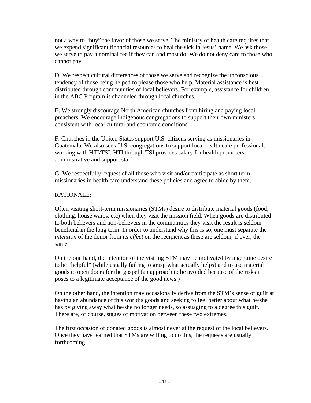not a way to "buy" the favor of those we serve. The ministry of health care requires that we expend significant financial resources to heal the sick in Jesus' name. We ask those we serve to pay a nominal fee if they can and most do. We do not deny care to those who cannot pay.

D. We respect cultural differences of those we serve and recognize the unconscious tendency of those being helped to please those who help. Material assistance is best distributed through communities of local believers. For example, assistance for children in the ABC Program is channeled through local churches.

E. We strongly discourage North American churches from hiring and paying local preachers. We encourage indigenous congregations to support their own ministers consistent with local cultural and economic conditions.

F. Churches in the United States support U.S. citizens serving as missionaries in Guatemala. We also seek U.S. congregations to support local health care professionals working with HTI/TSI. HTI through TSI provides salary for health promoters, administrative and support staff.

G. We respectfully request of all those who visit and/or participate as short term missionaries in health care understand these policies and agree to abide by them.

#### RATIONALE:

Often visiting short-term missionaries (STMs) desire to distribute material goods (food, clothing, house wares, etc) when they visit the mission field. When goods are distributed to both believers and non-believers in the communities they visit the result is seldom beneficial in the long term. In order to understand why this is so, one must separate the *intention* of the donor from its *effect* on the recipient as these are seldom, if ever, the same.

On the one hand, the intention of the visiting STM may be motivated by a genuine desire to be "helpful" (while usually failing to grasp what actually helps) and to use material goods to open doors for the gospel (an approach to be avoided because of the risks it poses to a legitimate acceptance of the good news.)

On the other hand, the intention may occasionally derive from the STM's sense of guilt at having an abundance of this world's goods and seeking to feel better about what he/she has by giving away what he/she no longer needs, so assuaging to a degree this guilt. There are, of course, stages of motivation between these two extremes.

The first occasion of donated goods is almost never at the request of the local believers. Once they have learned that STMs are willing to do this, the requests are usually forthcoming.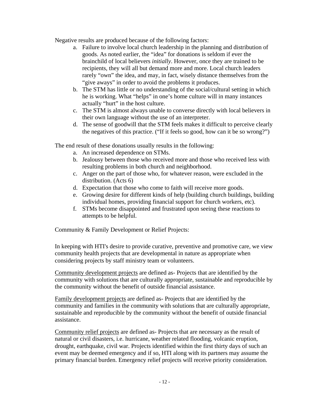Negative results are produced because of the following factors:

- a. Failure to involve local church leadership in the planning and distribution of goods. As noted earlier, the "idea" for donations is seldom if ever the brainchild of local believers *initially*. However, once they are trained to be recipients, they will all but demand more and more. Local church leaders rarely "own" the idea, and may, in fact, wisely distance themselves from the "give aways" in order to avoid the problems it produces.
- b. The STM has little or no understanding of the social/cultural setting in which he is working. What "helps" in one's home culture will in many instances actually "hurt" in the host culture.
- c. The STM is almost always unable to converse directly with local believers in their own language without the use of an interpreter.
- d. The sense of goodwill that the STM feels makes it difficult to perceive clearly the negatives of this practice. ("If it feels so good, how can it be so wrong?")

The end result of these donations usually results in the following:

- a. An increased dependence on STMs.
- b. Jealousy between those who received more and those who received less with resulting problems in both church and neighborhood.
- c. Anger on the part of those who, for whatever reason, were excluded in the distribution. (Acts 6)
- d. Expectation that those who come to faith will receive more goods.
- e. Growing desire for different kinds of help (building church buildings, building individual homes, providing financial support for church workers, etc).
- f. STMs become disappointed and frustrated upon seeing these reactions to attempts to be helpful.

Community & Family Development or Relief Projects:

In keeping with HTI's desire to provide curative, preventive and promotive care, we view community health projects that are developmental in nature as appropriate when considering projects by staff ministry team or volunteers.

Community development projects are defined as- Projects that are identified by the community with solutions that are culturally appropriate, sustainable and reproducible by the community without the benefit of outside financial assistance.

Family development projects are defined as- Projects that are identified by the community and families in the community with solutions that are culturally appropriate, sustainable and reproducible by the community without the benefit of outside financial assistance.

Community relief projects are defined as- Projects that are necessary as the result of natural or civil disasters, i.e. hurricane, weather related flooding, volcanic eruption, drought, earthquake, civil war. Projects identified within the first thirty days of such an event may be deemed emergency and if so, HTI along with its partners may assume the primary financial burden. Emergency relief projects will receive priority consideration.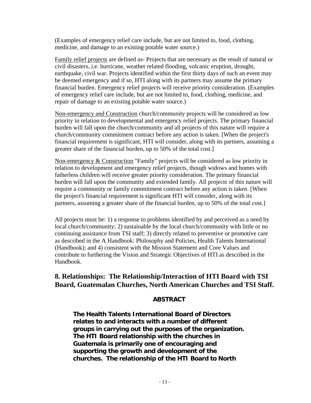(Examples of emergency relief care include, but are not limited to, food, clothing, medicine, and damage to an existing potable water source.)

Family relief projects are defined as- Projects that are necessary as the result of natural or civil disasters, i.e. hurricane, weather related flooding, volcanic eruption, drought, earthquake, civil war. Projects identified within the first thirty days of such an event may be deemed emergency and if so, HTI along with its partners may assume the primary financial burden. Emergency relief projects will receive priority consideration. (Examples of emergency relief care include, but are not limited to, food, clothing, medicine, and repair of damage to an existing potable water source.)

Non-emergency and Construction church/community projects will be considered as low priority in relation to developmental and emergency relief projects. The primary financial burden will fall upon the church/community and all projects of this nature will require a church/community commitment contract before any action is taken. [When the project's financial requirement is significant, HTI will consider, along with its partners, assuming a greater share of the financial burden, up to 50% of the total cost.]

Non-emergency & Construction "Family" projects will be considered as low priority in relation to development and emergency relief projects, though widows and homes with fatherless children will receive greater priority consideration. The primary financial burden will fall upon the community and extended family. All projects of this nature will require a community or family commitment contract before any action is taken. [When the project's financial requirement is significant HTI will consider, along with its partners, assuming a greater share of the financial burden, up to 50% of the total cost.]

All projects must be: 1) a response to problems identified by and perceived as a need by local church/community; 2) sustainable by the local church/community with little or no continuing assistance from TSI staff; 3) directly related to preventive or promotive care as described in the A Handbook: Philosophy and Policies, Health Talents International (Handbook); and 4) consistent with the Mission Statement and Core Values and contribute to furthering the Vision and Strategic Objectives of HTI as described in the Handbook.

## **8. Relationships: The Relationship/Interaction of HTI Board with TSI Board, Guatemalan Churches, North American Churches and TSI Staff.**

### **ABSTRACT**

**The Health Talents International Board of Directors relates to and interacts with a number of different groups in carrying out the purposes of the organization. The HTI Board relationship with the churches in Guatemala is primarily one of encouraging and supporting the growth and development of the churches. The relationship of the HTI Board to North**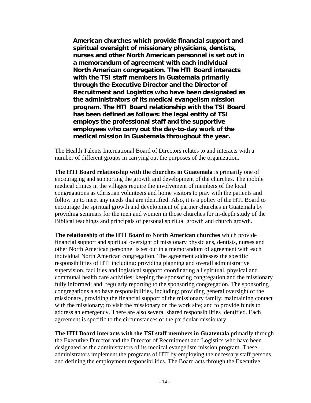**American churches which provide financial support and spiritual oversight of missionary physicians, dentists, nurses and other North American personnel is set out in a memorandum of agreement with each individual North American congregation. The HTI Board interacts with the TSI staff members in Guatemala primarily through the Executive Director and the Director of Recruitment and Logistics who have been designated as the administrators of its medical evangelism mission program. The HTI Board relationship with the TSI Board has been defined as follows: the legal entity of TSI employs the professional staff and the supportive employees who carry out the day-to-day work of the medical mission in Guatemala throughout the year.** 

The Health Talents International Board of Directors relates to and interacts with a number of different groups in carrying out the purposes of the organization.

**The HTI Board relationship with the churches in Guatemala** is primarily one of encouraging and supporting the growth and development of the churches. The mobile medical clinics in the villages require the involvement of members of the local congregations as Christian volunteers and home visitors to pray with the patients and follow up to meet any needs that are identified. Also, it is a policy of the HTI Board to encourage the spiritual growth and development of partner churches in Guatemala by providing seminars for the men and women in those churches for in-depth study of the Biblical teachings and principals of personal spiritual growth and church growth.

**The relationship of the HTI Board to North American churches** which provide financial support and spiritual oversight of missionary physicians, dentists, nurses and other North American personnel is set out in a memorandum of agreement with each individual North American congregation. The agreement addresses the specific responsibilities of HTI including: providing planning and overall administrative supervision, facilities and logistical support; coordinating all spiritual, physical and communal health care activities; keeping the sponsoring congregation and the missionary fully informed; and, regularly reporting to the sponsoring congregation. The sponsoring congregations also have responsibilities, including: providing general oversight of the missionary, providing the financial support of the missionary family; maintaining contact with the missionary; to visit the missionary on the work site; and to provide funds to address an emergency. There are also several shared responsibilities identified. Each agreement is specific to the circumstances of the particular missionary.

**The HTI Board interacts with the TSI staff members in Guatemala** primarily through the Executive Director and the Director of Recruitment and Logistics who have been designated as the administrators of its medical evangelism mission program. These administrators implement the programs of HTI by employing the necessary staff persons and defining the employment responsibilities. The Board acts through the Executive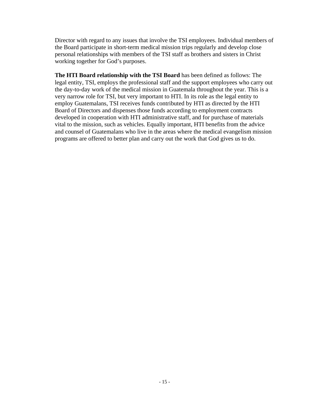Director with regard to any issues that involve the TSI employees. Individual members of the Board participate in short-term medical mission trips regularly and develop close personal relationships with members of the TSI staff as brothers and sisters in Christ working together for God's purposes.

**The HTI Board relationship with the TSI Board** has been defined as follows: The legal entity, TSI, employs the professional staff and the support employees who carry out the day-to-day work of the medical mission in Guatemala throughout the year. This is a very narrow role for TSI, but very important to HTI. In its role as the legal entity to employ Guatemalans, TSI receives funds contributed by HTI as directed by the HTI Board of Directors and dispenses those funds according to employment contracts developed in cooperation with HTI administrative staff, and for purchase of materials vital to the mission, such as vehicles. Equally important, HTI benefits from the advice and counsel of Guatemalans who live in the areas where the medical evangelism mission programs are offered to better plan and carry out the work that God gives us to do.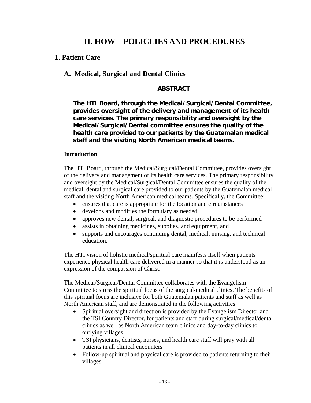## **II. HOW—POLICLIES AND PROCEDURES**

## **1. Patient Care**

## **A. Medical, Surgical and Dental Clinics**

### **ABSTRACT**

**The HTI Board, through the Medical/Surgical/Dental Committee, provides oversight of the delivery and management of its health care services. The primary responsibility and oversight by the Medical/Surgical/Dental committee ensures the quality of the health care provided to our patients by the Guatemalan medical staff and the visiting North American medical teams.**

#### **Introduction**

The HTI Board, through the Medical/Surgical/Dental Committee, provides oversight of the delivery and management of its health care services. The primary responsibility and oversight by the Medical/Surgical/Dental Committee ensures the quality of the medical, dental and surgical care provided to our patients by the Guatemalan medical staff and the visiting North American medical teams. Specifically, the Committee:

- ensures that care is appropriate for the location and circumstances
- develops and modifies the formulary as needed
- approves new dental, surgical, and diagnostic procedures to be performed
- assists in obtaining medicines, supplies, and equipment, and
- supports and encourages continuing dental, medical, nursing, and technical education.

The HTI vision of holistic medical/spiritual care manifests itself when patients experience physical health care delivered in a manner so that it is understood as an expression of the compassion of Christ.

The Medical/Surgical/Dental Committee collaborates with the Evangelism Committee to stress the spiritual focus of the surgical/medical clinics. The benefits of this spiritual focus are inclusive for both Guatemalan patients and staff as well as North American staff, and are demonstrated in the following activities:

- Spiritual oversight and direction is provided by the Evangelism Director and the TSI Country Director, for patients and staff during surgical/medical/dental clinics as well as North American team clinics and day-to-day clinics to outlying villages
- TSI physicians, dentists, nurses, and health care staff will pray with all patients in all clinical encounters
- Follow-up spiritual and physical care is provided to patients returning to their villages.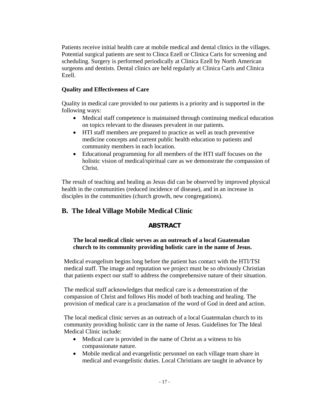Patients receive initial health care at mobile medical and dental clinics in the villages. Potential surgical patients are sent to Clinca Ezell or Clinica Caris for screening and scheduling. Surgery is performed periodically at Clinica Ezell by North American surgeons and dentists. Dental clinics are held regularly at Clinica Caris and Clinica Ezell.

#### **Quality and Effectiveness of Care**

Quality in medical care provided to our patients is a priority and is supported in the following ways:

- Medical staff competence is maintained through continuing medical education on topics relevant to the diseases prevalent in our patients.
- HTI staff members are prepared to practice as well as teach preventive medicine concepts and current public health education to patients and community members in each location.
- Educational programming for all members of the HTI staff focuses on the holistic vision of medical/spiritual care as we demonstrate the compassion of Christ.

The result of teaching and healing as Jesus did can be observed by improved physical health in the communities (reduced incidence of disease), and in an increase in disciples in the communities (church growth, new congregations).

## **B. The Ideal Village Mobile Medical Clinic**

#### **ABSTRACT**

#### **The local medical clinic serves as an outreach of a local Guatemalan church to its community providing holistic care in the name of Jesus.**

Medical evangelism begins long before the patient has contact with the HTI/TSI medical staff. The image and reputation we project must be so obviously Christian that patients expect our staff to address the comprehensive nature of their situation.

The medical staff acknowledges that medical care is a demonstration of the compassion of Christ and follows His model of both teaching and healing. The provision of medical care is a proclamation of the word of God in deed and action.

The local medical clinic serves as an outreach of a local Guatemalan church to its community providing holistic care in the name of Jesus. Guidelines for The Ideal Medical Clinic include:

- Medical care is provided in the name of Christ as a witness to his compassionate nature.
- Mobile medical and evangelistic personnel on each village team share in medical and evangelistic duties. Local Christians are taught in advance by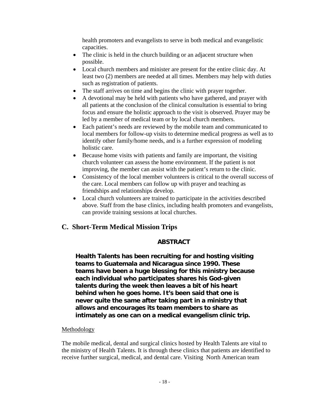health promoters and evangelists to serve in both medical and evangelistic capacities.

- The clinic is held in the church building or an adjacent structure when possible.
- Local church members and minister are present for the entire clinic day. At least two (2) members are needed at all times. Members may help with duties such as registration of patients.
- The staff arrives on time and begins the clinic with prayer together.
- A devotional may be held with patients who have gathered, and prayer with all patients at the conclusion of the clinical consultation is essential to bring focus and ensure the holistic approach to the visit is observed. Prayer may be led by a member of medical team or by local church members.
- Each patient's needs are reviewed by the mobile team and communicated to local members for follow-up visits to determine medical progress as well as to identify other family/home needs, and is a further expression of modeling holistic care.
- Because home visits with patients and family are important, the visiting church volunteer can assess the home environment. If the patient is not improving, the member can assist with the patient's return to the clinic.
- Consistency of the local member volunteers is critical to the overall success of the care. Local members can follow up with prayer and teaching as friendships and relationships develop.
- Local church volunteers are trained to participate in the activities described above. Staff from the base clinics, including health promoters and evangelists, can provide training sessions at local churches.

## **C. Short-Term Medical Mission Trips**

### **ABSTRACT**

**Health Talents has been recruiting for and hosting visiting teams to Guatemala and Nicaragua since 1990. These teams have been a huge blessing for this ministry because each individual who participates shares his God-given talents during the week then leaves a bit of his heart behind when he goes home. It's been said that one is never quite the same after taking part in a ministry that allows and encourages its team members to share as intimately as one can on a medical evangelism clinic trip.** 

### **Methodology**

The mobile medical, dental and surgical clinics hosted by Health Talents are vital to the ministry of Health Talents. It is through these clinics that patients are identified to receive further surgical, medical, and dental care. Visiting North American team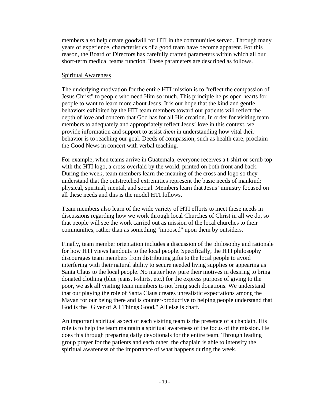members also help create goodwill for HTI in the communities served. Through many years of experience, characteristics of a good team have become apparent. For this reason, the Board of Directors has carefully crafted parameters within which all our short-term medical teams function. These parameters are described as follows.

#### Spiritual Awareness

The underlying motivation for the entire HTI mission is to "reflect the compassion of Jesus Christ" to people who need Him so much. This principle helps open hearts for people to want to learn more about Jesus. It is our hope that the kind and gentle behaviors exhibited by the HTI team members toward our patients will reflect the depth of love and concern that God has for all His creation. In order for visiting team members to adequately and appropriately reflect Jesus' love in this context, we provide information and support to assist *them* in understanding how vital their behavior is to reaching our goal. Deeds of compassion, such as health care, proclaim the Good News in concert with verbal teaching.

For example, when teams arrive in Guatemala, everyone receives a t-shirt or scrub top with the HTI logo, a cross overlaid by the world, printed on both front and back. During the week, team members learn the meaning of the cross and logo so they understand that the outstretched extremities represent the basic needs of mankind: physical, spiritual, mental, and social. Members learn that Jesus' ministry focused on all these needs and this is the model HTI follows.

Team members also learn of the wide variety of HTI efforts to meet these needs in discussions regarding how we work through local Churches of Christ in all we do, so that people will see the work carried out as mission of the local churches to their communities, rather than as something "imposed" upon them by outsiders.

Finally, team member orientation includes a discussion of the philosophy and rationale for how HTI views handouts to the local people. Specifically, the HTI philosophy discourages team members from distributing gifts to the local people to avoid interfering with their natural ability to secure needed living supplies or appearing as Santa Claus to the local people. No matter how pure their motives in desiring to bring donated clothing (blue jeans, t-shirts, etc.) for the express purpose of giving to the poor, we ask all visiting team members to not bring such donations. We understand that our playing the role of Santa Claus creates unrealistic expectations among the Mayan for our being there and is counter-productive to helping people understand that God is the "Giver of All Things Good." All else is chaff.

An important spiritual aspect of each visiting team is the presence of a chaplain. His role is to help the team maintain a spiritual awareness of the focus of the mission. He does this through preparing daily devotionals for the entire team. Through leading group prayer for the patients and each other, the chaplain is able to intensify the spiritual awareness of the importance of what happens during the week.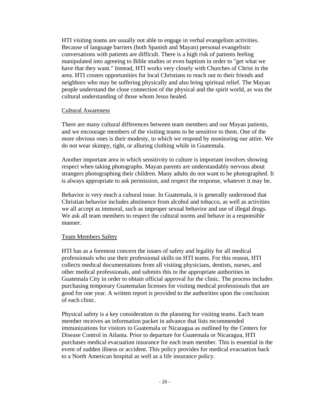HTI visiting teams are usually not able to engage in verbal evangelism activities. Because of language barriers (both Spanish and Mayan) personal evangelistic conversations with patients are difficult. There is a high risk of patients feeling manipulated into agreeing to Bible studies or even baptism in order to "get what we have that they want." Instead, HTI works very closely with Churches of Christ in the area. HTI creates opportunities for local Christians to reach out to their friends and neighbors who may be suffering physically and also bring spiritual relief. The Mayan people understand the close connection of the physical and the spirit world, as was the cultural understanding of those whom Jesus healed.

#### Cultural Awareness

There are many cultural differences between team members and our Mayan patients, and we encourage members of the visiting teams to be sensitive to them. One of the more obvious ones is their modesty, to which we respond by monitoring our attire. We do not wear skimpy, tight, or alluring clothing while in Guatemala.

Another important area in which sensitivity to culture is important involves showing respect when taking photographs. Mayan parents are understandably nervous about strangers photographing their children. Many adults do not want to be photographed. It is always appropriate to ask permission, and respect the response, whatever it may be.

Behavior is very much a cultural issue. In Guatemala, it is generally understood that Christian behavior includes abstinence from alcohol and tobacco, as well as activities we all accept as immoral, such as improper sexual behavior and use of illegal drugs. We ask all team members to respect the cultural norms and behave in a responsible manner.

#### Team Members Safety

HTI has as a foremost concern the issues of safety and legality for all medical professionals who use their professional skills on HTI teams. For this reason, HTI collects medical documentations from all visiting physicians, dentists, nurses, and other medical professionals, and submits this to the appropriate authorities in Guatemala City in order to obtain official approval for the clinic. The process includes purchasing temporary Guatemalan licenses for visiting medical professionals that are good for one year. A written report is provided to the authorities upon the conclusion of each clinic.

Physical safety is a key consideration in the planning for visiting teams. Each team member receives an information packet in advance that lists recommended immunizations for visitors to Guatemala or Nicaragua as outlined by the Centers for Disease Control in Atlanta. Prior to departure for Guatemala or Nicaragua, HTI purchases medical evacuation insurance for each team member. This is essential in the event of sudden illness or accident. This policy provides for medical evacuation back to a North American hospital as well as a life insurance policy.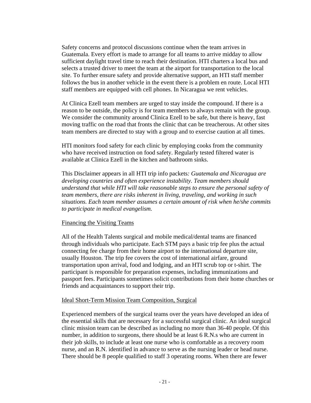Safety concerns and protocol discussions continue when the team arrives in Guatemala. Every effort is made to arrange for all teams to arrive midday to allow sufficient daylight travel time to reach their destination. HTI charters a local bus and selects a trusted driver to meet the team at the airport for transportation to the local site. To further ensure safety and provide alternative support, an HTI staff member follows the bus in another vehicle in the event there is a problem en route. Local HTI staff members are equipped with cell phones. In Nicaragua we rent vehicles.

At Clinica Ezell team members are urged to stay inside the compound. If there is a reason to be outside, the policy is for team members to always remain with the group. We consider the community around Clinica Ezell to be safe, but there is heavy, fast moving traffic on the road that fronts the clinic that can be treacherous. At other sites team members are directed to stay with a group and to exercise caution at all times.

HTI monitors food safety for each clinic by employing cooks from the community who have received instruction on food safety. Regularly tested filtered water is available at Clinica Ezell in the kitchen and bathroom sinks.

This Disclaimer appears in all HTI trip info packets*: Guatemala and Nicaragua are developing countries and often experience instability. Team members should understand that while HTI will take reasonable steps to ensure the personal safety of team members, there are risks inherent in living, traveling, and working in such situations. Each team member assumes a certain amount of risk when he/she commits to participate in medical evangelism.*

#### Financing the Visiting Teams

All of the Health Talents surgical and mobile medical/dental teams are financed through individuals who participate. Each STM pays a basic trip fee plus the actual connecting fee charge from their home airport to the international departure site, usually Houston. The trip fee covers the cost of international airfare, ground transportation upon arrival, food and lodging, and an HTI scrub top or t-shirt. The participant is responsible for preparation expenses, including immunizations and passport fees. Participants sometimes solicit contributions from their home churches or friends and acquaintances to support their trip.

#### Ideal Short-Term Mission Team Composition, Surgical

Experienced members of the surgical teams over the years have developed an idea of the essential skills that are necessary for a successful surgical clinic. An ideal surgical clinic mission team can be described as including no more than 36-40 people. Of this number, in addition to surgeons, there should be at least 6 R.N.s who are current in their job skills, to include at least one nurse who is comfortable as a recovery room nurse, and an R.N. identified in advance to serve as the nursing leader or head nurse. There should be 8 people qualified to staff 3 operating rooms. When there are fewer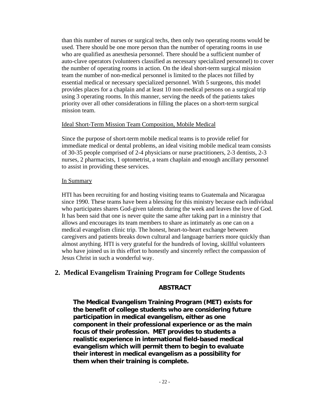than this number of nurses or surgical techs, then only two operating rooms would be used. There should be one more person than the number of operating rooms in use who are qualified as anesthesia personnel. There should be a sufficient number of auto-clave operators (volunteers classified as necessary specialized personnel) to cover the number of operating rooms in action. On the ideal short-term surgical mission team the number of non-medical personnel is limited to the places not filled by essential medical or necessary specialized personnel. With 5 surgeons, this model provides places for a chaplain and at least 10 non-medical persons on a surgical trip using 3 operating rooms. In this manner, serving the needs of the patients takes priority over all other considerations in filling the places on a short-term surgical mission team.

#### Ideal Short-Term Mission Team Composition, Mobile Medical

Since the purpose of short-term mobile medical teams is to provide relief for immediate medical or dental problems, an ideal visiting mobile medical team consists of 30-35 people comprised of 2-4 physicians or nurse practitioners, 2-3 dentists, 2-3 nurses, 2 pharmacists, 1 optometrist, a team chaplain and enough ancillary personnel to assist in providing these services.

#### In Summary

HTI has been recruiting for and hosting visiting teams to Guatemala and Nicaragua since 1990. These teams have been a blessing for this ministry because each individual who participates shares God-given talents during the week and leaves the love of God. It has been said that one is never quite the same after taking part in a ministry that allows and encourages its team members to share as intimately as one can on a medical evangelism clinic trip. The honest, heart-to-heart exchange between caregivers and patients breaks down cultural and language barriers more quickly than almost anything. HTI is very grateful for the hundreds of loving, skillful volunteers who have joined us in this effort to honestly and sincerely reflect the compassion of Jesus Christ in such a wonderful way.

### **2. Medical Evangelism Training Program for College Students**

#### **ABSTRACT**

**The Medical Evangelism Training Program (MET) exists for the benefit of college students who are considering future participation in medical evangelism, either as one component in their professional experience or as the main focus of their profession. MET provides to students a realistic experience in international field-based medical evangelism which will permit them to begin to evaluate their interest in medical evangelism as a possibility for them when their training is complete.**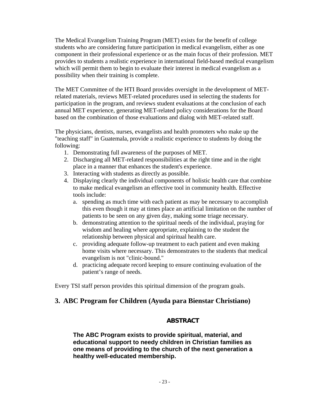The Medical Evangelism Training Program (MET) exists for the benefit of college students who are considering future participation in medical evangelism, either as one component in their professional experience or as the main focus of their profession. MET provides to students a realistic experience in international field-based medical evangelism which will permit them to begin to evaluate their interest in medical evangelism as a possibility when their training is complete.

The MET Committee of the HTI Board provides oversight in the development of METrelated materials, reviews MET-related procedures used in selecting the students for participation in the program, and reviews student evaluations at the conclusion of each annual MET experience, generating MET-related policy considerations for the Board based on the combination of those evaluations and dialog with MET-related staff.

The physicians, dentists, nurses, evangelists and health promoters who make up the "teaching staff" in Guatemala, provide a realistic experience to students by doing the following:

- 1. Demonstrating full awareness of the purposes of MET.
- 2. Discharging all MET-related responsibilities at the right time and in the right place in a manner that enhances the student's experience.
- 3. Interacting with students as directly as possible.
- 4. Displaying clearly the individual components of holistic health care that combine to make medical evangelism an effective tool in community health. Effective tools include:
	- a. spending as much time with each patient as may be necessary to accomplish this even though it may at times place an artificial limitation on the number of patients to be seen on any given day, making some triage necessary.
	- b. demonstrating attention to the spiritual needs of the individual, praying for wisdom and healing where appropriate, explaining to the student the relationship between physical and spiritual health care.
	- c. providing adequate follow-up treatment to each patient and even making home visits where necessary. This demonstrates to the students that medical evangelism is not "clinic-bound."
	- d. practicing adequate record keeping to ensure continuing evaluation of the patient's range of needs.

Every TSI staff person provides this spiritual dimension of the program goals.

### **3. ABC Program for Children (Ayuda para Bienstar Christiano)**

#### **ABSTRACT**

**The ABC Program exists to provide spiritual, material, and educational support to needy children in Christian families as one means of providing to the church of the next generation a healthy well-educated membership.**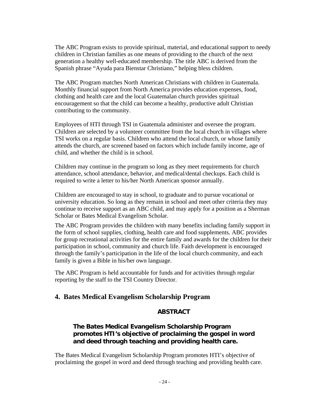The ABC Program exists to provide spiritual, material, and educational support to needy children in Christian families as one means of providing to the church of the next generation a healthy well-educated membership. The title ABC is derived from the Spanish phrase "Ayuda para Bienstar Christiano," helping bless children.

The ABC Program matches North American Christians with children in Guatemala. Monthly financial support from North America provides education expenses, food, clothing and health care and the local Guatemalan church provides spiritual encouragement so that the child can become a healthy, productive adult Christian contributing to the community.

Employees of HTI through TSI in Guatemala administer and oversee the program. Children are selected by a volunteer committee from the local church in villages where TSI works on a regular basis. Children who attend the local church, or whose family attends the church, are screened based on factors which include family income, age of child, and whether the child is in school.

Children may continue in the program so long as they meet requirements for church attendance, school attendance, behavior, and medical/dental checkups. Each child is required to write a letter to his/her North American sponsor annually.

Children are encouraged to stay in school, to graduate and to pursue vocational or university education. So long as they remain in school and meet other criteria they may continue to receive support as an ABC child, and may apply for a position as a Sherman Scholar or Bates Medical Evangelism Scholar.

The ABC Program provides the children with many benefits including family support in the form of school supplies, clothing, health care and food supplements. ABC provides for group recreational activities for the entire family and awards for the children for their participation in school, community and church life. Faith development is encouraged through the family's participation in the life of the local church community, and each family is given a Bible in his/her own language.

The ABC Program is held accountable for funds and for activities through regular reporting by the staff to the TSI Country Director.

## **4. Bates Medical Evangelism Scholarship Program**

### **ABSTRACT**

### **The Bates Medical Evangelism Scholarship Program promotes HTI's objective of proclaiming the gospel in word and deed through teaching and providing health care.**

The Bates Medical Evangelism Scholarship Program promotes HTI's objective of proclaiming the gospel in word and deed through teaching and providing health care.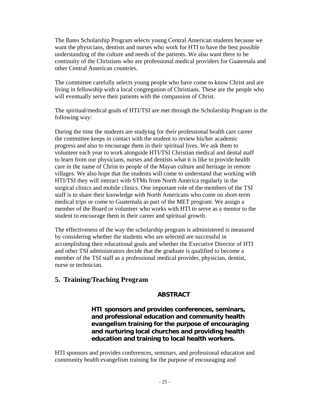The Bates Scholarship Program selects young Central American students because we want the physicians, dentists and nurses who work for HTI to have the best possible understanding of the culture and needs of the patients. We also want there to be continuity of the Christians who are professional medical providers for Guatemala and other Central American countries.

The committee carefully selects young people who have come to know Christ and are living in fellowship with a local congregation of Christians. These are the people who will eventually serve their patients with the compassion of Christ.

The spiritual/medical goals of HTI/TSI are met through the Scholarship Program in the following way:

During the time the students are studying for their professional health care career the committee keeps in contact with the student to review his/her academic progress and also to encourage them in their spiritual lives. We ask them to volunteer each year to work alongside HTI/TSI Christian medical and dental staff to learn from our physicians, nurses and dentists what it is like to provide health care in the name of Christ to people of the Mayan culture and heritage in remote villages. We also hope that the students will come to understand that working with HTI/TSI they will interact with STMs from North America regularly in the surgical clinics and mobile clinics. One important role of the members of the TSI staff is to share their knowledge with North Americans who come on short-term medical trips or come to Guatemala as part of the MET program. We assign a member of the Board or volunteer who works with HTI to serve as a mentor to the student to encourage them in their career and spiritual growth.

The effectiveness of the way the scholarship program is administered is measured by considering whether the students who are selected are successful in accomplishing their educational goals and whether the Executive Director of HTI and other TSI administrators decide that the graduate is qualified to become a member of the TSI staff as a professional medical provider, physician, dentist, nurse or technician.

## **5. Training/Teaching Program**

### **ABSTRACT**

**HTI sponsors and provides conferences, seminars, and professional education and community health evangelism training for the purpose of encouraging and nurturing local churches and providing health education and training to local health workers.** 

HTI sponsors and provides conferences, seminars, and professional education and community health evangelism training for the purpose of encouraging and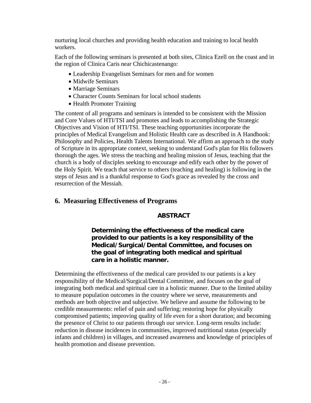nurturing local churches and providing health education and training to local health workers.

Each of the following seminars is presented at both sites, Clinica Ezell on the coast and in the region of Clinica Caris near Chichicastenango:

- Leadership Evangelism Seminars for men and for women
- Midwife Seminars
- Marriage Seminars
- Character Counts Seminars for local school students
- Health Promoter Training

The content of all programs and seminars is intended to be consistent with the Mission and Core Values of HTI/TSI and promotes and leads to accomplishing the Strategic Objectives and Vision of HTI/TSI. These teaching opportunities incorporate the principles of Medical Evangelism and Holistic Health care as described in A Handbook: Philosophy and Policies, Health Talents International. We affirm an approach to the study of Scripture in its appropriate context, seeking to understand God's plan for His followers thorough the ages. We stress the teaching and healing mission of Jesus, teaching that the church is a body of disciples seeking to encourage and edify each other by the power of the Holy Spirit. We teach that service to others (teaching and healing) is following in the steps of Jesus and is a thankful response to God's grace as revealed by the cross and resurrection of the Messiah.

## **6. Measuring Effectiveness of Programs**

### **ABSTRACT**

**Determining the effectiveness of the medical care provided to our patients is a key responsibility of the Medical/Surgical/Dental Committee, and focuses on the goal of integrating both medical and spiritual care in a holistic manner.** 

Determining the effectiveness of the medical care provided to our patients is a key responsibility of the Medical/Surgical/Dental Committee, and focuses on the goal of integrating both medical and spiritual care in a holistic manner. Due to the limited ability to measure population outcomes in the country where we serve, measurements and methods are both objective and subjective. We believe and assume the following to be credible measurements: relief of pain and suffering; restoring hope for physically compromised patients; improving quality of life even for a short duration; and becoming the presence of Christ to our patients through our service. Long-term results include: reduction in disease incidences in communities, improved nutritional status (especially infants and children) in villages, and increased awareness and knowledge of principles of health promotion and disease prevention.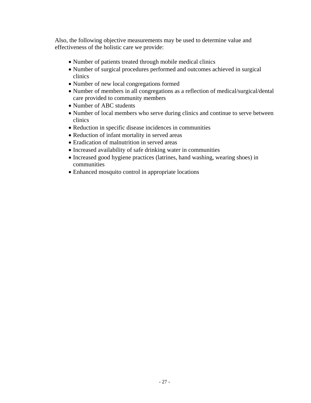Also, the following objective measurements may be used to determine value and effectiveness of the holistic care we provide:

- Number of patients treated through mobile medical clinics
- Number of surgical procedures performed and outcomes achieved in surgical clinics
- Number of new local congregations formed
- Number of members in all congregations as a reflection of medical/surgical/dental care provided to community members
- Number of ABC students
- Number of local members who serve during clinics and continue to serve between clinics
- Reduction in specific disease incidences in communities
- Reduction of infant mortality in served areas
- Eradication of malnutrition in served areas
- Increased availability of safe drinking water in communities
- Increased good hygiene practices (latrines, hand washing, wearing shoes) in communities
- Enhanced mosquito control in appropriate locations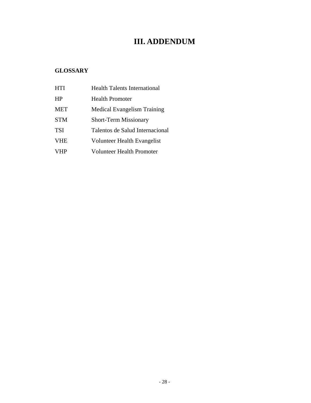## **III. ADDENDUM**

## **GLOSSARY**

| <b>HTI</b> | Health Talents International       |
|------------|------------------------------------|
| <b>HP</b>  | <b>Health Promoter</b>             |
| <b>MET</b> | <b>Medical Evangelism Training</b> |
| <b>STM</b> | <b>Short-Term Missionary</b>       |
| <b>TSI</b> | Talentos de Salud Internacional    |
| <b>VHE</b> | Volunteer Health Evangelist        |
| VHP        | Volunteer Health Promoter          |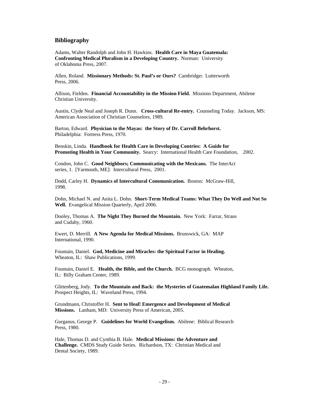#### **Bibliography**

Adams, Walter Randolph and John H. Hawkins. **Health Care in Maya Guatemala: Confronting Medical Pluralism in a Developing Country.** Norman: University of Oklahoma Press, 2007.

Allen, Roland. **Missionary Methods: St. Paul's or Ours?** Cambridge**:** Lutterworth Press, 2006.

Allison, Fielden. **Financial Accountability in the Mission Field.** Missions Department, Abilene Christian University.

Austin, Clyde Neal and Joseph R. Dunn. **Cross-cultural Re-entry.** Counseling Today. Jackson, MS: American Association of Christian Counselors, 1989.

Barton, Edward. **Physician to the Mayas: the Story of Dr. Carroll Behrhorst.**  Philadelphia: Fortress Press, 1970.

Benskin, Linda. **Handbook for Health Care in Developing Contries: A Guide for Promoting Health in Your Community.** Searcy: International Health Care Foundation, 2002.

Condon, John C. **Good Neighbors; Communicating with the Mexicans.** The InterAct series, 1. [Yarmouth, ME]: Intercultural Press, 2001.

Dodd, Carley H. **Dynamics of Intercultural Communication.** Boston: McGraw-Hill, 1998.

Dohn, Michael N. and Anita L. Dohn. **Short-Term Medical Teams: What They Do Well and Not So Well.** Evangelical Mission Quarterly, April 2006.

Dooley, Thomas A. **The Night They Burned the Mountain.** New York: Farrar, Straus and Cudahy, 1960.

Ewert, D. Merrill. **A New Agenda for Medical Missions.** Brunswick, GA: MAP International, 1990.

Fountain, Daniel. **God, Medicine and Miracles: the Spiritual Factor in Healing.**  Wheaton, IL: Shaw Publications, 1999.

Fountain, Daniel E. **Health, the Bible, and the Church.** BCG monograph. Wheaton, IL: Billy Graham Center, 1989.

Glittenberg, Jody. **To the Mountain and Back: the Mysteries of Guatemalan Highland Family Life.**  Prospect Heights, IL:Waveland Press, 1994.

Grundmann, Christoffer H. **Sent to Heal! Emergence and Development of Medical Missions.** Lanham, MD: University Press of American, 2005.

Gurganus, George P. **Guidelines for World Evangelism.** Abilene: Biblical Research Press, 1980.

Hale, Thomas D. and Cynthia B. Hale. **Medical Missions: the Adventure and Challenge.** CMDS Study Guide Series. Richardson, TX: Christian Medical and Dental Society, 1989.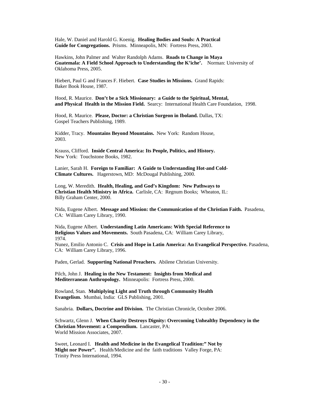Hale, W. Daniel and Harold G. Koenig. **Healing Bodies and Souls: A Practical Guide for Congregations.** Prisms. Minneapolis, MN: Fortress Press, 2003.

Hawkins, John Palmer and Walter Randolph Adams. **Roads to Change in Maya Guatemala: A Field School Approach to Understanding the K'iche'.** Norman: University of Oklahoma Press, 2005.

Hiebert, Paul G and Frances F. Hiebert. **Case Studies in Missions.** Grand Rapids: Baker Book House, 1987.

Hood, R. Maurice. **Don't be a Sick Missionary: a Guide to the Spiritual, Mental, and Physical Health in the Mission Field.** Searcy: International Health Care Foundation, 1998.

Hood, R. Maurice. **Please, Doctor: a Christian Surgeon in Iboland.** Dallas, TX: Gospel Teachers Publishing, 1989.

Kidder, Tracy. **Mountains Beyond Mountains.** New York: Random House, 2003.

Krauss, Clifford. **Inside Central America: Its People, Politics, and History.**  New York: Touchstone Books, 1982.

Lanier, Sarah H. **Foreign to Familiar: A Guide to Understanding Hot-and Cold-Climate Cultures.** Hagerstown, MD: McDougal Publishing, 2000.

Long, W. Meredith. **Health, Healing, and God's Kingdom: New Pathways to Christian Health Ministry in Africa.** Carlisle, CA: Regnum Books; Wheaton, IL: Billy Graham Center, 2000.

Nida, Eugene Albert. **Message and Mission: the Communication of the Christian Faith.** Pasadena, CA: William Carey Library, 1990.

Nida, Eugene Albert. **Understanding Latin Americans: With Special Reference to Religious Values and Movements.** South Pasadena, CA: William Carey Library, 1974.

Nunez, Emilio Antonio C. **Crisis and Hope in Latin America: An Evangelical Perspective.** Pasadena, CA: William Carey Library, 1996.

Paden, Gerlad. **Supporting National Preachers.** Abilene Christian University.

Pilch, John J. **Healing in the New Testament: Insights from Medical and Mediterranean Anthropology.** Minneapolis: Fortress Press, 2000.

Rowland, Stan. **Multiplying Light and Truth through Community Health Evangelism.** Mumbai, India: GLS Publishing, 2001.

Sanabria. **Dollars, Doctrine and Division.** The Christian Chronicle, October 2006.

Schwartz, Glenn J. **When Charity Destroys Dignity: Overcoming Unhealthy Dependency in the Christian Movement: a Compendium.** Lancaster, PA: World Mission Associates, 2007.

Sweet, Leonard I. **Health and Medicine in the Evangelical Tradition:" Not by Might nor Power".** Health/Medicine and the faith traditions Valley Forge, PA: Trinity Press International, 1994.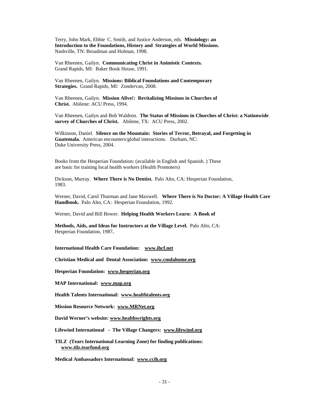Terry, John Mark, Ebbie C. Smith, and Justice Anderson, eds. **Missiology: an Introduction to the Foundations, History and Strategies of World Missions.**  Nashville, TN: Broadman and Holman, 1998.

Van Rheenen, Gailyn. **Communicating Christ in Animistic Contexts.**  Grand Rapids, MI: Baker Book House, 1991.

Van Rheenen, Gailyn. **Missions: Biblical Foundations and Contemporary Strategies.** Grand Rapids, MI: Zondervan, 2008.

Van Rheenen, Gailyn. **Mission Alive!: Revitalizing Missions in Churches of Christ.** Abilene: ACU Press, 1994.

Van Rheenen, Gailyn and Bob Waldron. **The Status of Missions in Churches of Christ: a Nationwide survey of Churches of Christ.** Abilene, TX: ACU Press, 2002.

Wilkinson, Daniel. **Silence on the Mountain: Stories of Terror, Betrayal, and Forgetting in Guatemala.** American encounters/global interactions. Durham, NC: Duke University Press, 2004.

Books from the Hesperian Foundation: (available in English and Spanish. ) These are basic for training local health workers (Health Promoters)

Dickson, Murray. **Where There is No Dentist.** Palo Alto, CA: Hesperian Foundation, 1983.

Werner, David, Carol Thurman and Jane Maxwell. **Where There is No Doctor: A Village Health Care Handbook.** Palo Alto, CA: Hesperian Foundation, 1992.

Werner, David and Bill Bower. **Helping Health Workers Learn: A Book of** 

**Methods, Aids, and Ideas for Instructors at the Village Level.** Palo Alto, CA: Hesperian Foundation, 1987**.** 

**International Health Care Foundation: [www.ihcf.net](http://www.ihcf.net/)**

**Christian Medical and Dental Association: [www.cmdahome.org](http://www.cmdahome.org/)**

**Hesperian Foundation: [www.hesperian.org](http://www.hesperian.org/)**

**MAP International: [www.map.org](http://www.map.org/)**

**Health Talents International: [www.healthtalents.org](http://www.healthtalents.org/)**

**Mission Resource Network: [www.MRNet.org](http://www.mrnet.org/)**

**David Werner's website: [www.healthwrights.org](http://www.healthwrights.org/)**

**Lifewind International - The Village Changers: [www.lifewind.org](http://www.lifewind.org/)**

**TILZ (Tears International Learning Zone) for finding publications: [www.tilz.tearfund.org](http://www.tilz.tearfund.org/)**

**Medical Ambassadors International: [www.ccih.org](http://www.ccih.org/)**